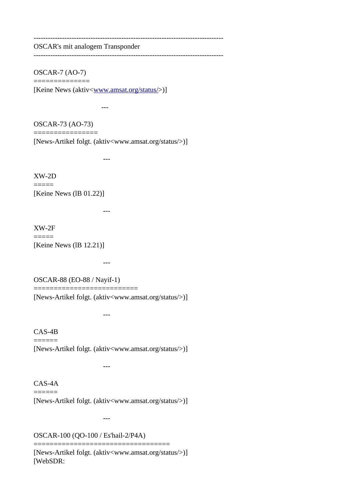--------------------------------------------------------------------------------

OSCAR's mit analogem Transponder

--------------------------------------------------------------------------------

OSCAR-7 (AO-7) ==============

[Keine News (aktiv[<www.amsat.org/status/>](http://www.amsat.org/status/))]

---

OSCAR-73 (AO-73)

================ [News-Artikel folgt. (aktiv<www.amsat.org/status/>)]

---

XW-2D  $=$ 

[Keine News (lB 01.22)]

---

XW-2F  $=$ [Keine News (1B 12.21)]

---

---

---

OSCAR-88 (EO-88 / Nayif-1) ==========================

[News-Artikel folgt. (aktiv<www.amsat.org/status/>)]

---

CAS-4B  $=$ [News-Artikel folgt. (aktiv<www.amsat.org/status/>)]

CAS-4A  $=$ 

[News-Artikel folgt. (aktiv<www.amsat.org/status/>)]

==================================

OSCAR-100 (QO-100 / Es'hail-2/P4A)

[News-Artikel folgt. (aktiv<www.amsat.org/status/>)] [WebSDR: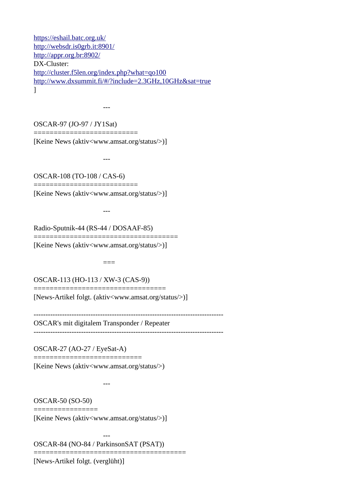<https://eshail.batc.org.uk/> <http://websdr.is0grb.it:8901/> <http://appr.org.br:8902/> DX-Cluster: <http://cluster.f5len.org/index.php?what=qo100> <http://www.dxsummit.fi/#/?include=2.3GHz,10GHz&sat=true> ]

OSCAR-97 (JO-97 / JY1Sat)

==========================

---

[Keine News (aktiv<www.amsat.org/status/>)]

---

OSCAR-108 (TO-108 / CAS-6) ==========================

[Keine News (aktiv<www.amsat.org/status/>)]

---

Radio-Sputnik-44 (RS-44 / DOSAAF-85)

==================================== [Keine News (aktiv<www.amsat.org/status/>)]

OSCAR-113 (HO-113 / XW-3 (CAS-9))

=================================

[News-Artikel folgt. (aktiv<www.amsat.org/status/>)]

 $=$ 

-------------------------------------------------------------------------------- OSCAR's mit digitalem Transponder / Repeater --------------------------------------------------------------------------------

OSCAR-27 (AO-27 / EyeSat-A)

=============================

[Keine News (aktiv<www.amsat.org/status/>)

OSCAR-50 (SO-50)

================

---

---

[Keine News (aktiv<www.amsat.org/status/>)]

OSCAR-84 (NO-84 / ParkinsonSAT (PSAT))

====================================== [News-Artikel folgt. (verglüht)]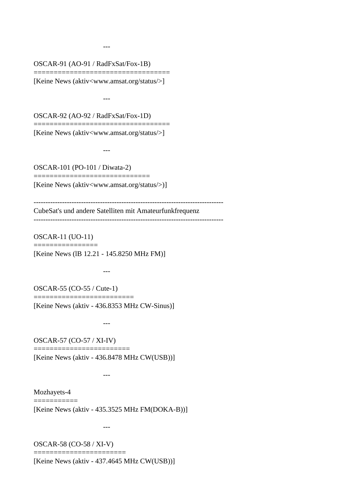OSCAR-91 (AO-91 / RadFxSat/Fox-1B)

---

================================== [Keine News (aktiv<www.amsat.org/status/>]

---

OSCAR-92 (AO-92 / RadFxSat/Fox-1D)

================================== [Keine News (aktiv<www.amsat.org/status/>]

OSCAR-101 (PO-101 / Diwata-2)

---

[Keine News (aktiv<www.amsat.org/status/>)]

=============================

-------------------------------------------------------------------------------- CubeSat's und andere Satelliten mit Amateurfunkfrequenz

--------------------------------------------------------------------------------

OSCAR-11 (UO-11) ================

[Keine News (lB 12.21 - 145.8250 MHz FM)]

OSCAR-55 (CO-55 / Cute-1) =========================

---

[Keine News (aktiv - 436.8353 MHz CW-Sinus)]

---

OSCAR-57 (CO-57 / XI-IV)

---

========================

[Keine News (aktiv - 436.8478 MHz CW(USB))]

Mozhayets-4  $=$ 

[Keine News (aktiv - 435.3525 MHz FM(DOKA-B))]

---

OSCAR-58 (CO-58 / XI-V) =======================

[Keine News (aktiv - 437.4645 MHz CW(USB))]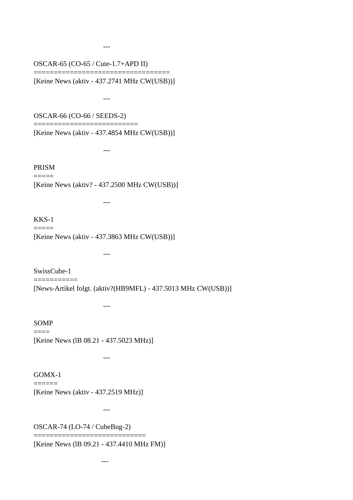OSCAR-65 (CO-65 / Cute-1.7+APD II)

================================== [Keine News (aktiv - 437.2741 MHz CW(USB))]

---

OSCAR-66 (CO-66 / SEEDS-2)

---

---

---

==========================

---

[Keine News (aktiv - 437.4854 MHz CW(USB))]

PRISM  $=$ 

[Keine News (aktiv? - 437.2500 MHz CW(USB))]

### KKS-1  $=$

[Keine News (aktiv - 437.3863 MHz CW(USB))]

SwissCube-1 ===========

[News-Artikel folgt. (aktiv?(HB9MFL) - 437.5013 MHz CW(USB))]

---

SOMP  $=$ 

[Keine News (lB 08.21 - 437.5023 MHz)]

---

#### GOMX-1 ======

[Keine News (aktiv - 437.2519 MHz)]

---

OSCAR-74 (LO-74 / CubeBug-2)

==============================

[Keine News (lB 09.21 - 437.4410 MHz FM)]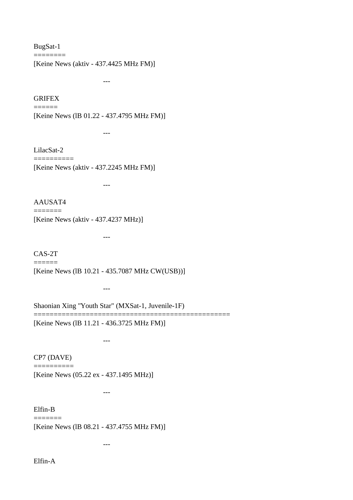BugSat-1 ========

[Keine News (aktiv - 437.4425 MHz FM)]

---

---

---

---

---

---

---

**GRIFEX** 

 $=$ 

[Keine News (lB 01.22 - 437.4795 MHz FM)]

LilacSat-2 ==========

[Keine News (aktiv - 437.2245 MHz FM)]

AAUSAT4

 $=$ 

[Keine News (aktiv - 437.4237 MHz)]

CAS-2T ====== [Keine News (lB 10.21 - 435.7087 MHz CW(USB))]

Shaonian Xing "Youth Star" (MXSat-1, Juvenile-1F)

=================================================

[Keine News (lB 11.21 - 436.3725 MHz FM)]

---

CP7 (DAVE)  $=$ 

[Keine News (05.22 ex - 437.1495 MHz)]

Elfin-B =======

[Keine News (lB 08.21 - 437.4755 MHz FM)]

Elfin-A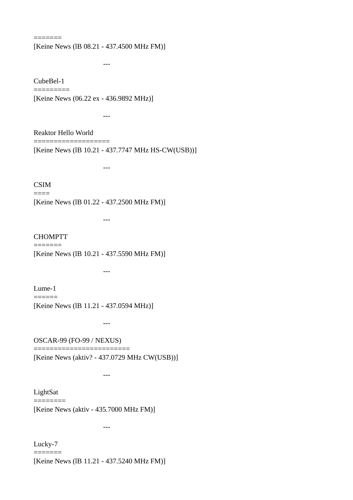[Keine News (lB 08.21 - 437.4500 MHz FM)]

CubeBel-1 =========

 $=$ 

[Keine News (06.22 ex - 436.9892 MHz)]

Reaktor Hello World

---

---

=================== [Keine News (lB 10.21 - 437.7747 MHz HS-CW(USB))]

---

### CSIM  $=$

[Keine News (lB 01.22 - 437.2500 MHz FM)]

---

#### CHOMPTT  $=$

[Keine News (lB 10.21 - 437.5590 MHz FM)]

---

Lume-1 ======

[Keine News (lB 11.21 - 437.0594 MHz)]

OSCAR-99 (FO-99 / NEXUS) ========================

---

---

[Keine News (aktiv? - 437.0729 MHz CW(USB))]

LightSat ========

[Keine News (aktiv - 435.7000 MHz FM)]

---

Lucky-7 =======

[Keine News (lB 11.21 - 437.5240 MHz FM)]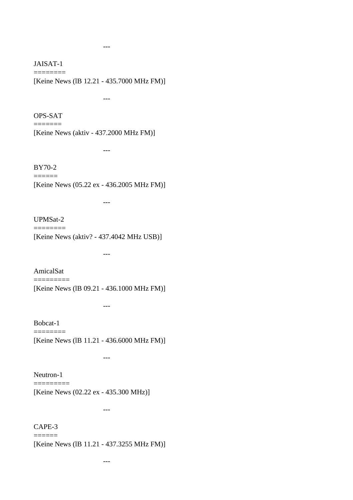# JAISAT-1  $=$

---

---

---

---

---

[Keine News (lB 12.21 - 435.7000 MHz FM)]

---

# OPS-SAT  $=$

[Keine News (aktiv - 437.2000 MHz FM)]

BY70-2  $=$ 

[Keine News (05.22 ex - 436.2005 MHz FM)]

# UPMSat-2

 $=$ 

[Keine News (aktiv? - 437.4042 MHz USB)]

AmicalSat  $=$ 

[Keine News (lB 09.21 - 436.1000 MHz FM)]

Bobcat-1  $=$ 

[Keine News (lB 11.21 - 436.6000 MHz FM)]

---

Neutron-1  $=$ 

[Keine News (02.22 ex - 435.300 MHz)]

---

#### CAPE-3  $=$

[Keine News (lB 11.21 - 437.3255 MHz FM)]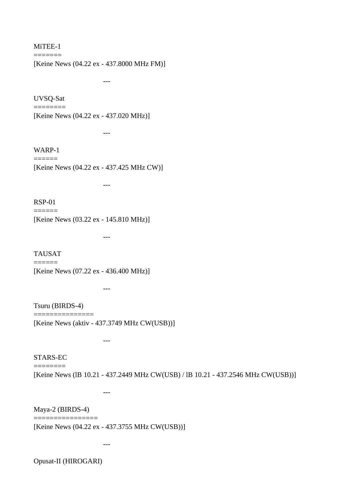#### MiTEE-1 =======

[Keine News (04.22 ex - 437.8000 MHz FM)]

UVSQ-Sat

 $=$ 

---

---

---

---

[Keine News (04.22 ex - 437.020 MHz)]

WARP-1  $=$ 

[Keine News (04.22 ex - 437.425 MHz CW)]

RSP-01  $=$ 

[Keine News (03.22 ex - 145.810 MHz)]

TAUSAT  $=$ [Keine News (07.22 ex - 436.400 MHz)]

---

Tsuru (BIRDS-4)

===============

---

---

[Keine News (aktiv - 437.3749 MHz CW(USB))]

STARS-EC  $=$ 

[Keine News (lB 10.21 - 437.2449 MHz CW(USB) / lB 10.21 - 437.2546 MHz CW(USB))]

Maya-2 (BIRDS-4)

================

[Keine News (04.22 ex - 437.3755 MHz CW(USB))]

Opusat-II (HIROGARI)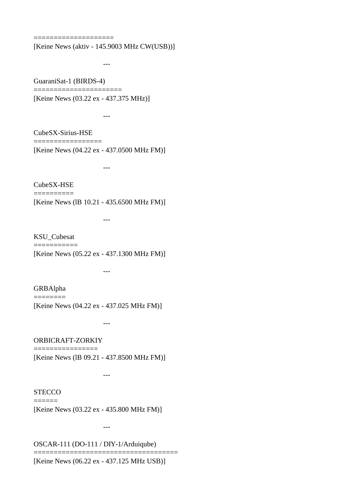====================

[Keine News (aktiv - 145.9003 MHz CW(USB))]

---

GuaraniSat-1 (BIRDS-4) ======================

[Keine News (03.22 ex - 437.375 MHz)]

---

CubeSX-Sirius-HSE =================

[Keine News (04.22 ex - 437.0500 MHz FM)]

---

CubeSX-HSE ==========

[Keine News (lB 10.21 - 435.6500 MHz FM)]

KSU\_Cubesat ===========

---

[Keine News (05.22 ex - 437.1300 MHz FM)]

---

GRBAlpha ========

[Keine News (04.22 ex - 437.025 MHz FM)]

ORBICRAFT-ZORKIY ================

---

---

[Keine News (lB 09.21 - 437.8500 MHz FM)]

**STECCO**  $=$ 

[Keine News (03.22 ex - 435.800 MHz FM)]

---

OSCAR-111 (DO-111 / DIY-1/Arduiqube)

[Keine News (06.22 ex - 437.125 MHz USB)]

====================================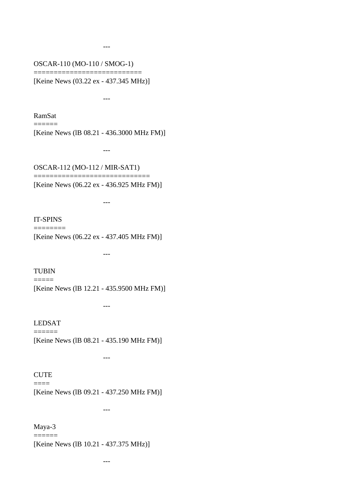# OSCAR-110 (MO-110 / SMOG-1) ===========================

---

[Keine News (03.22 ex - 437.345 MHz)]

---

RamSat

 $=$ 

[Keine News (lB 08.21 - 436.3000 MHz FM)]

OSCAR-112 (MO-112 / MIR-SAT1)

===================================

---

---

---

---

[Keine News (06.22 ex - 436.925 MHz FM)]

# IT-SPINS ========

[Keine News (06.22 ex - 437.405 MHz FM)]

TUBIN  $=$ 

[Keine News (lB 12.21 - 435.9500 MHz FM)]

LEDSAT  $=$ 

[Keine News (lB 08.21 - 435.190 MHz FM)]

---

### **CUTE**  $=$

[Keine News (lB 09.21 - 437.250 MHz FM)]

---

Maya-3 ======

[Keine News (lB 10.21 - 437.375 MHz)]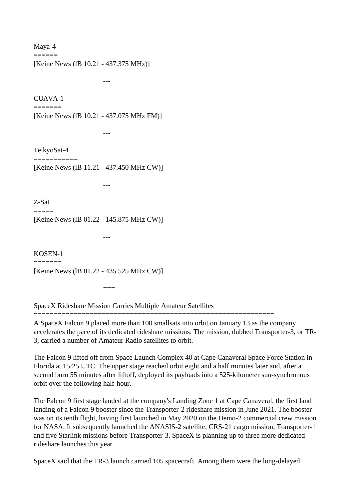Maya-4 ======

[Keine News (IB 10.21 - 437.375 MHz)]

CUAVA-1

---

---

---

---

=======

[Keine News (lB 10.21 - 437.075 MHz FM)]

TeikyoSat-4 ===========

[Keine News (lB 11.21 - 437.450 MHz CW)]

Z-Sat

=====

[Keine News (lB 01.22 - 145.875 MHz CW)]

KOSEN-1 ======= [Keine News (lB 01.22 - 435.525 MHz CW)]

 $\equiv$ 

SpaceX Rideshare Mission Carries Multiple Amateur Satellites

============================================================

A SpaceX Falcon 9 placed more than 100 smallsats into orbit on January 13 as the company accelerates the pace of its dedicated rideshare missions. The mission, dubbed Transporter-3, or TR-3, carried a number of Amateur Radio satellites to orbit.

The Falcon 9 lifted off from Space Launch Complex 40 at Cape Canaveral Space Force Station in Florida at 15:25 UTC. The upper stage reached orbit eight and a half minutes later and, after a second burn 55 minutes after liftoff, deployed its payloads into a 525-kilometer sun-synchronous orbit over the following half-hour.

The Falcon 9 first stage landed at the company's Landing Zone 1 at Cape Canaveral, the first land landing of a Falcon 9 booster since the Transporter-2 rideshare mission in June 2021. The booster was on its tenth flight, having first launched in May 2020 on the Demo-2 commercial crew mission for NASA. It subsequently launched the ANASIS-2 satellite, CRS-21 cargo mission, Transporter-1 and five Starlink missions before Transporter-3. SpaceX is planning up to three more dedicated rideshare launches this year.

SpaceX said that the TR-3 launch carried 105 spacecraft. Among them were the long-delayed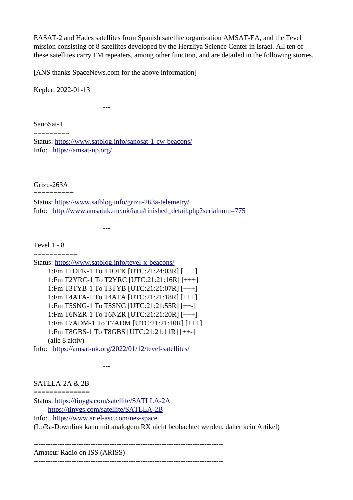EASAT-2 and Hades satellites from Spanish satellite organization AMSAT-EA, and the Tevel mission consisting of 8 satellites developed by the Herzliya Science Center in Israel. All ten of these satellites carry FM repeaters, among other function, and are detailed in the following stories.

[ANS thanks SpaceNews.com for the above information]

Kepler: 2022-01-13

---

SanoSat-1

========= Status:<https://www.satblog.info/sanosat-1-cw-beacons/> Info: <https://amsat-np.org/>

---

---

Grizu-263A

========== Status:<https://www.satblog.info/grizu-263a-telemetry/> Info: [http://www.amsatuk.me.uk/iaru/finished\\_detail.php?serialnum=775](http://www.amsatuk.me.uk/iaru/finished_detail.php?serialnum=775)

Tevel 1 - 8

===========

Status:<https://www.satblog.info/tevel-x-beacons/> 1:Fm T1OFK-1 To T1OFK [UTC:21:24:03R] [+++] 1:Fm T2YRC-1 To T2YRC [UTC:21:21:16R] [+++] 1:Fm T3TYB-1 To T3TYB [UTC:21:21:07R] [+++] 1:Fm T4ATA-1 To T4ATA [UTC:21:21:18R] [+++] 1:Fm T5SNG-1 To T5SNG [UTC:21:21:55R] [++-] 1:Fm T6NZR-1 To T6NZR [UTC:21:21:20R] [+++] 1:Fm T7ADM-1 To T7ADM [UTC:21:21:10R] [+++] 1:Fm T8GBS-1 To T8GBS [UTC:21:21:11R] [++-] (alle 8 aktiv)

Info: <https://amsat-uk.org/2022/01/12/tevel-satellites/>

SATLLA-2A & 2B

---

============== Status:<https://tinygs.com/satellite/SATLLA-2A> <https://tinygs.com/satellite/SATLLA-2B> Info: <https://www.ariel-asc.com/nes-space>

(LoRa-Downlink kann mit analogem RX nicht beobachtet werden, daher kein Artikel)

--------------------------------------------------------------------------------

Amateur Radio on ISS (ARISS) --------------------------------------------------------------------------------